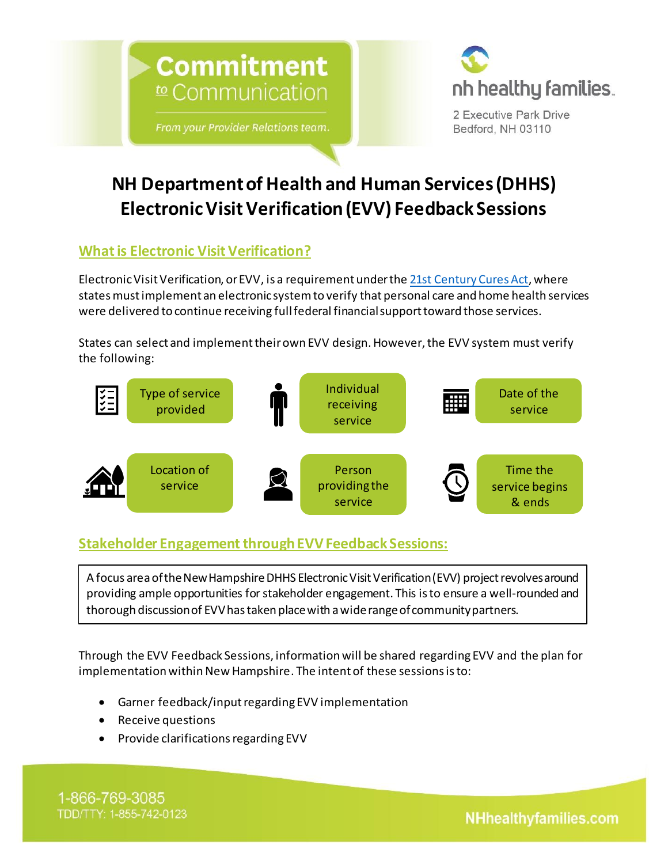



2 Executive Park Drive Bedford, NH 03110

# **NH Department of Health and Human Services (DHHS) Electronic Visit Verification (EVV) Feedback Sessions**

## **What is Electronic Visit Verification?**

Electronic Visit Verification, or EVV, is a requirement under the [21st Century Cures Act,](https://www.congress.gov/bill/114th-congress/house-bill/34/text) where states must implement an electronic system to verify that personal care and home health services were delivered to continue receiving fullfederal financial support toward those services.

States can select and implement their own EVV design. However, the EVV system must verify the following:



## **Stakeholder Engagement through EVV Feedback Sessions:**

A focus area of the New Hampshire DHHS Electronic Visit Verification (EVV) project revolves around providing ample opportunities for stakeholder engagement. This is to ensure a well-rounded and thorough discussion of EVV has taken place with a wide range of community partners.

Through the EVV Feedback Sessions, information will be shared regarding EVV and the plan for implementation within New Hampshire. The intent of these sessions is to:

- Garner feedback/input regarding EVV implementation
- Receive questions
- Provide clarifications regarding EVV

1-866-769-3085 TDD/TTY: 1-855-742-0123

**NHhealthyfamilies.com**